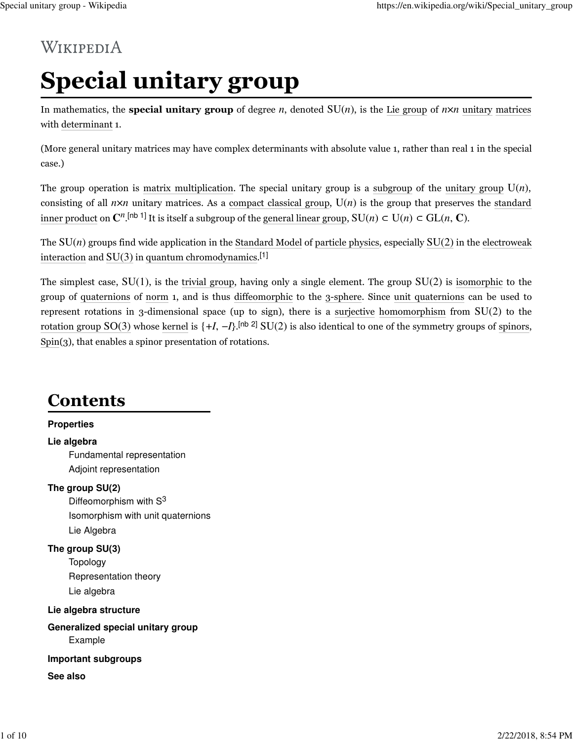# WIKIPEDIA

# **Special unitary group**

In mathematics, the **special unitary group** of degree *n*, denoted  $SU(n)$ , is the Lie group of  $n \times n$  unitary matrices with determinant 1.

(More general unitary matrices may have complex determinants with absolute value 1, rather than real 1 in the special case.)

The group operation is matrix multiplication. The special unitary group is a subgroup of the unitary group  $U(n)$ , consisting of all  $n \times n$  unitary matrices. As a compact classical group,  $U(n)$  is the group that preserves the standard inner product on  $\mathbb{C}^n$ . [nb 1] It is itself a subgroup of the general linear group,  $SU(n) \subset U(n) \subset GL(n, \mathbb{C})$ .

The  $SU(n)$  groups find wide application in the Standard Model of particle physics, especially  $SU(2)$  in the electroweak interaction and  $SU(3)$  in quantum chromodynamics.<sup>[1]</sup>

The simplest case,  $SU(1)$ , is the trivial group, having only a single element. The group  $SU(2)$  is isomorphic to the group of quaternions of norm 1, and is thus diffeomorphic to the 3-sphere. Since unit quaternions can be used to represent rotations in 3-dimensional space (up to sign), there is a surjective homomorphism from SU(2) to the rotation group  $SO(3)$  whose kernel is  $\{+I, -I\}$ .<sup>[nb 2]</sup>  $SU(2)$  is also identical to one of the symmetry groups of spinors, Spin(3), that enables a spinor presentation of rotations.

# **Contents**

#### **Properties**

#### **Lie algebra**

Fundamental representation Adjoint representation

#### **The group SU(2)**

Diffeomorphism with S<sup>3</sup> Isomorphism with unit quaternions Lie Algebra

#### **The group SU(3)**

Topology Representation theory Lie algebra

**Lie algebra structure Generalized special unitary group** Example

#### **Important subgroups**

**See also**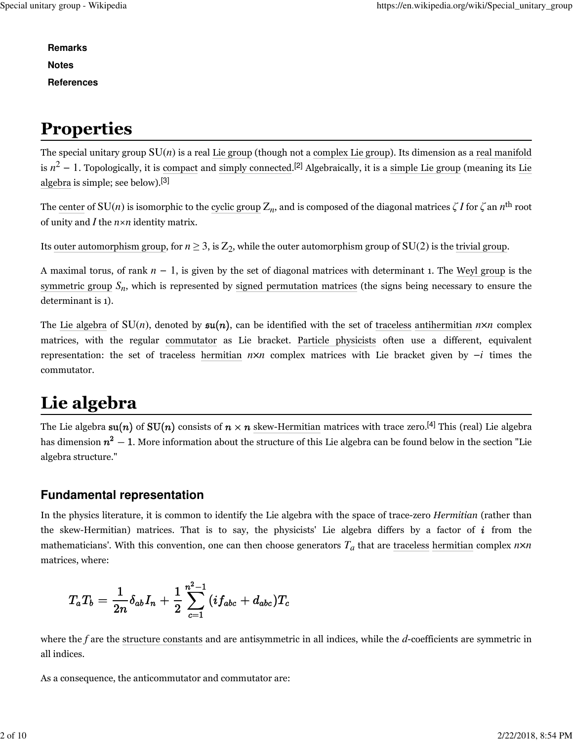**Remarks Notes References**

# **Properties**

The special unitary group  $SU(n)$  is a real Lie group (though not a complex Lie group). Its dimension as a real manifold is  $n^2-1.$  Topologically, it is compact and simply connected.<sup>[2]</sup> Algebraically, it is a simple Lie group (meaning its Lie algebra is simple; see below).[3]

The <u>center</u> of  $\mathrm{SU}(n)$  is isomorphic to the <u>cyclic group</u>  $\mathrm{Z}_n$ , and is composed of the diagonal matrices  $\zeta$   $I$  for  $\zeta$  an  $n^\mathrm{th}$  root of unity and *I* the *n*×*n* identity matrix.

Its <u>outer automorphism group,</u> for  $n \ge 3$ , is  $Z_2$ , while the outer automorphism group of  $SU(2)$  is the <u>trivial group</u>.

A maximal torus, of rank *n* − 1, is given by the set of diagonal matrices with determinant 1. The Weyl group is the symmetric group  $S_n$ , which is represented by signed permutation matrices (the signs being necessary to ensure the determinant is 1).

The Lie algebra of  $SU(n)$ , denoted by  $\mathfrak{su}(n)$ , can be identified with the set of traceless antihermitian  $n \times n$  complex matrices, with the regular commutator as Lie bracket. Particle physicists often use a different, equivalent representation: the set of traceless hermitian *n*×*n* complex matrices with Lie bracket given by −*i* times the commutator.

# **Lie algebra**

The Lie algebra  $su(n)$  of  $SU(n)$  consists of  $n \times n$  skew-Hermitian matrices with trace zero.<sup>[4]</sup> This (real) Lie algebra has dimension  $n^2 - 1$ . More information about the structure of this Lie algebra can be found below in the section "Lie algebra structure."

### **Fundamental representation**

In the physics literature, it is common to identify the Lie algebra with the space of trace-zero *Hermitian* (rather than the skew-Hermitian) matrices. That is to say, the physicists' Lie algebra differs by a factor of  $\boldsymbol{i}$  from the mathematicians'. With this convention, one can then choose generators  $T_a$  that are <u>traceless</u> hermitian complex  $n \times n$ matrices, where:

$$
T_aT_b = \frac{1}{2n}\delta_{ab}I_n + \frac{1}{2}\sum_{c=1}^{n^2-1}{(i f_{abc} + d_{abc})T_c}
$$

where the *f* are the structure constants and are antisymmetric in all indices, while the *d*-coefficients are symmetric in all indices.

As a consequence, the anticommutator and commutator are: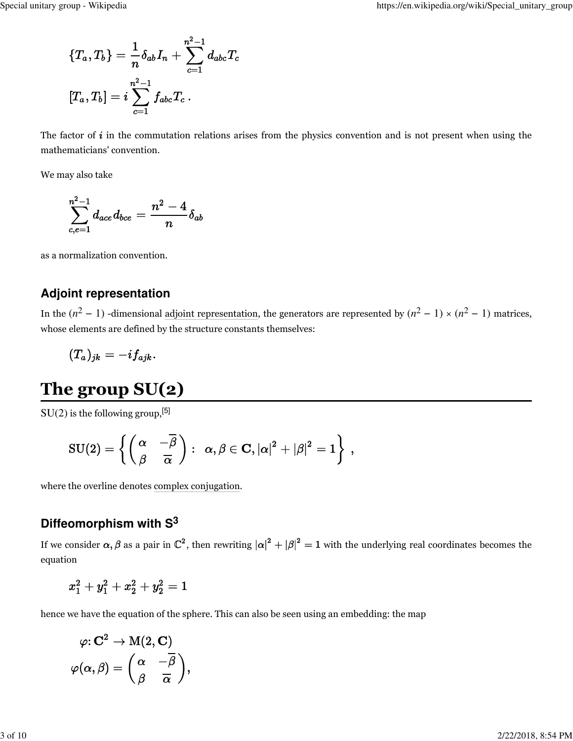$$
\begin{aligned} \{T_a,T_b\} &= \frac{1}{n}\delta_{ab}I_n + \sum_{c=1}^{n^2-1} d_{abc}T_c \\ [T_a,T_b] &= i\sum_{c=1}^{n^2-1} f_{abc}T_c\,. \end{aligned}
$$

The factor of  $i$  in the commutation relations arises from the physics convention and is not present when using the mathematicians' convention.

We may also take

$$
\sum_{c,e=1}^{n^2-1} d_{ace} d_{bce} = \frac{n^2-4}{n} \delta_{ab}
$$

as a normalization convention.

#### **Adjoint representation**

In the  $(n^2 - 1)$  -dimensional adjoint representation, the generators are represented by  $(n^2 - 1) \times (n^2 - 1)$  matrices, whose elements are defined by the structure constants themselves:

$$
(T_a)_{jk} = -i f_{ajk} . \nonumber
$$

# **The group SU(2)**

 $SU(2)$  is the following group,<sup>[5]</sup>

$$
\mathrm{SU}(2) = \left\{ \left( \begin{matrix} \alpha & -\overline{\beta} \\ \beta & \overline{\alpha} \end{matrix} \right): \ \ \alpha,\beta \in \mathbf{C}, |\alpha|^2 + |\beta|^2 = 1 \right\} \ ,
$$

where the overline denotes complex conjugation.

### **Diffeomorphism with S<sup>3</sup>**

If we consider  $\alpha, \beta$  as a pair in  $\mathbb{C}^2$ , then rewriting  $|\alpha|^2 + |\beta|^2 = 1$  with the underlying real coordinates becomes the equation

$$
x_1^2 + y_1^2 + x_2^2 + y_2^2 = 1\\
$$

hence we have the equation of the sphere. This can also be seen using an embedding: the map

$$
\varphi ; \bf C^2 \to M(2, \bf C) \\ \varphi (\alpha, \beta) = \left( \frac{\alpha}{\beta} - \frac{\overline{\beta}}{\overline{\alpha}} \right),
$$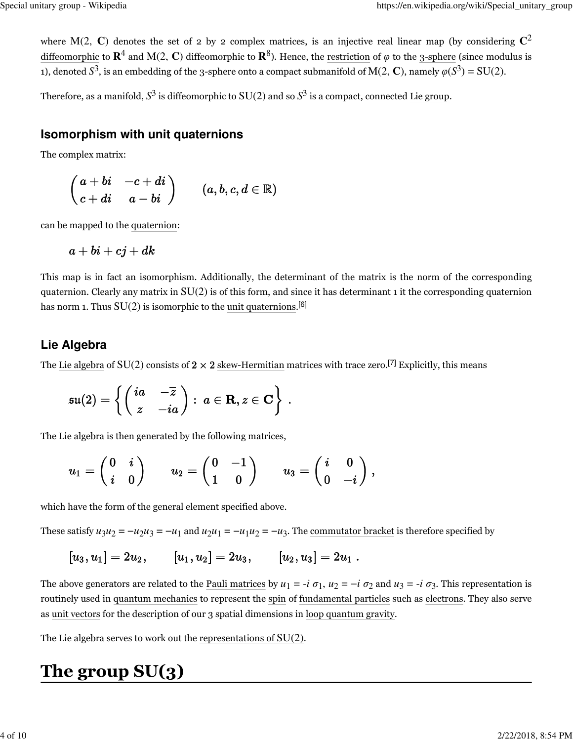where M(2, **C**) denotes the set of 2 by 2 complex matrices, is an injective real linear map (by considering  $\mathbb{C}^2$ diffeomorphic to  $\mathbf{R}^4$  and M(2,  $\mathbf{C}$ ) diffeomorphic to  $\mathbf{R}^8$ ). Hence, the restriction of  $\varphi$  to the 3-sphere (since modulus is 1), denoted  $S^3$ , is an embedding of the 3-sphere onto a compact submanifold of M(2, **C**), namely  $\varphi(S^3) = SU(2)$ .

Therefore, as a manifold,  $S^3$  is diffeomorphic to  $\mathrm{SU}(2)$  and so  $S^3$  is a compact, connected Lie group.

#### **Isomorphism with unit quaternions**

The complex matrix:

$$
\begin{pmatrix} a+bi & -c+di \\ c+di & a-bi \end{pmatrix} \qquad (a,b,c,d \in \mathbb{R})
$$

can be mapped to the quaternion:

$$
a+bi+cj+dk
$$

This map is in fact an isomorphism. Additionally, the determinant of the matrix is the norm of the corresponding quaternion. Clearly any matrix in  $SU(2)$  is of this form, and since it has determinant 1 it the corresponding quaternion has norm 1. Thus  $SU(2)$  is isomorphic to the unit quaternions.<sup>[6]</sup>

### **Lie Algebra**

The Lie algebra of SU(2) consists of  $2 \times 2$  skew-Hermitian matrices with trace zero.<sup>[7]</sup> Explicitly, this means

$$
\mathfrak{su}(2) = \left\{ \left( \begin{matrix} ia & -\overline{z} \\ z & -ia \end{matrix} \right): \ a \in \mathbf{R}, z \in \mathbf{C} \right\} \ .
$$

The Lie algebra is then generated by the following matrices,

$$
u_1 = \begin{pmatrix} 0 & i \\ i & 0 \end{pmatrix} \qquad u_2 = \begin{pmatrix} 0 & -1 \\ 1 & 0 \end{pmatrix} \qquad u_3 = \begin{pmatrix} i & 0 \\ 0 & -i \end{pmatrix},
$$

which have the form of the general element specified above.

These satisfy  $u_3u_2 = -u_2u_3 = -u_1$  and  $u_2u_1 = -u_1u_2 = -u_3$ . The <u>commutator bracket</u> is therefore specified by

$$
[u_3,u_1]=2u_2,\qquad [u_1,u_2]=2u_3,\qquad [u_2,u_3]=2u_1\ .
$$

The above generators are related to the <u>Pauli matrices</u> by  $u_1 = -i \sigma_1$ ,  $u_2 = -i \sigma_2$  and  $u_3 = -i \sigma_3$ . This representation is routinely used in quantum mechanics to represent the spin of fundamental particles such as electrons. They also serve as unit vectors for the description of our 3 spatial dimensions in loop quantum gravity.

The Lie algebra serves to work out the representations of SU(2).

# **The group SU(3)**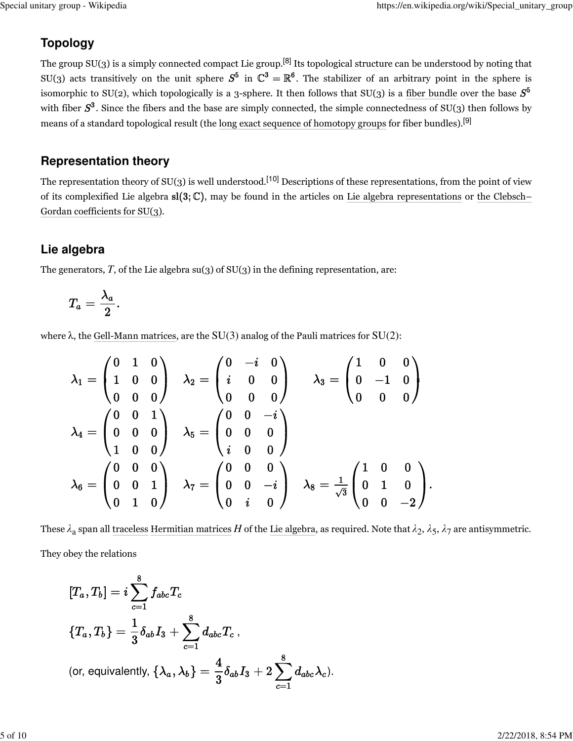### **Topology**

The group  $SU(3)$  is a simply connected compact Lie group.<sup>[8]</sup> Its topological structure can be understood by noting that SU(3) acts transitively on the unit sphere  $S^5$  in  $\mathbb{C}^3 = \mathbb{R}^6$ . The stabilizer of an arbitrary point in the sphere is isomorphic to SU(2), which topologically is a 3-sphere. It then follows that SU(3) is a fiber bundle over the base  $S^5$ with fiber  $S^3$ . Since the fibers and the base are simply connected, the simple connectedness of SU(3) then follows by means of a standard topological result (the long exact sequence of homotopy groups for fiber bundles).[9]

### **Representation theory**

The representation theory of  $SU(3)$  is well understood.<sup>[10]</sup> Descriptions of these representations, from the point of view of its complexified Lie algebra  $sl(3;\mathbb{C})$ , may be found in the articles on Lie algebra representations or the Clebsch– Gordan coefficients for SU(3).

### **Lie algebra**

The generators, *T*, of the Lie algebra su(3) of SU(3) in the defining representation, are:

$$
T_a=\frac{\lambda_a}{2}.
$$

where  $\lambda$ , the Gell-Mann matrices, are the SU(3) analog of the Pauli matrices for SU(2):

$$
\lambda_1 = \begin{pmatrix} 0 & 1 & 0 \\ 1 & 0 & 0 \\ 0 & 0 & 0 \end{pmatrix} \quad \lambda_2 = \begin{pmatrix} 0 & -i & 0 \\ i & 0 & 0 \\ 0 & 0 & 0 \end{pmatrix} \quad \lambda_3 = \begin{pmatrix} 1 & 0 & 0 \\ 0 & -1 & 0 \\ 0 & 0 & 0 \end{pmatrix} \\ \lambda_4 = \begin{pmatrix} 0 & 0 & 1 \\ 0 & 0 & 0 \\ 1 & 0 & 0 \end{pmatrix} \quad \lambda_5 = \begin{pmatrix} 0 & 0 & -i \\ 0 & 0 & 0 \\ i & 0 & 0 \end{pmatrix} \\ \lambda_6 = \begin{pmatrix} 0 & 0 & 0 \\ 0 & 0 & 1 \\ 0 & 1 & 0 \end{pmatrix} \quad \lambda_7 = \begin{pmatrix} 0 & 0 & 0 \\ 0 & 0 & -i \\ 0 & i & 0 \end{pmatrix} \quad \lambda_8 = \frac{1}{\sqrt{3}} \begin{pmatrix} 1 & 0 & 0 \\ 0 & 1 & 0 \\ 0 & 0 & -2 \end{pmatrix}.
$$

These  $\lambda_a$  span all <u>traceless Hermitian matrices</u>  $H$  of the <u>Lie algebra</u>, as required. Note that  $\lambda_2$ ,  $\lambda_5$ ,  $\lambda_7$  are antisymmetric.

They obey the relations

$$
[T_a, T_b] = i \sum_{c=1}^8 f_{abc} T_c
$$
  

$$
\{T_a, T_b\} = \frac{1}{3} \delta_{ab} I_3 + \sum_{c=1}^8 d_{abc} T_c,
$$
  
(or, equivalently,  $\{\lambda_a, \lambda_b\} = \frac{4}{3} \delta_{ab} I_3 + 2 \sum_{c=1}^8 d_{abc} \lambda_c.$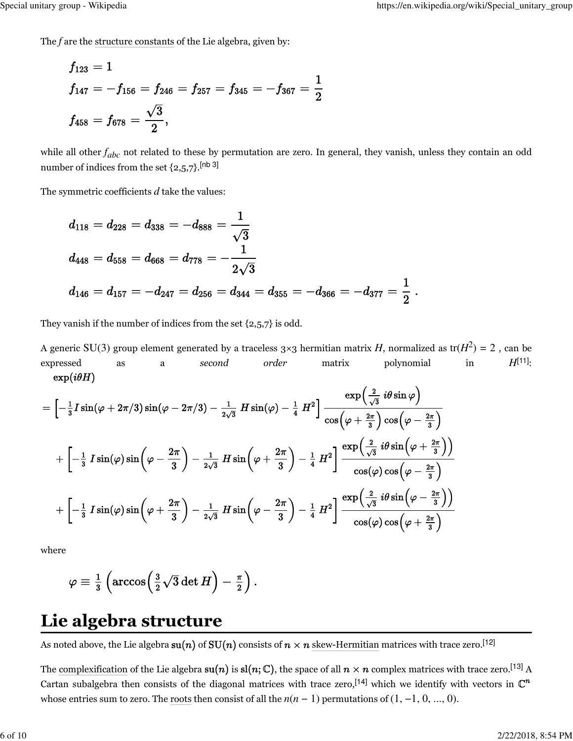The *f* are the structure constants of the Lie algebra, given by:

$$
\begin{aligned} f_{123} &= 1 \\ f_{147} &= -f_{156} = f_{246} = f_{257} = f_{345} = -f_{367} = \frac{1}{2} \\ f_{458} &= f_{678} = \frac{\sqrt{3}}{2}, \end{aligned}
$$

while all other  $f_{abc}$  not related to these by permutation are zero. In general, they vanish, unless they contain an odd number of indices from the set  $\{2,5,7\}$ .<sup>[nb 3]</sup>

The symmetric coefficients *d* take the values:

$$
\begin{aligned} d_{118} &= d_{228} = d_{338} = -d_{888} = \frac{1}{\sqrt{3}} \\ d_{448} &= d_{558} = d_{668} = d_{778} = -\frac{1}{2\sqrt{3}} \\ d_{146} &= d_{157} = -d_{247} = d_{256} = d_{344} = d_{355} = -d_{366} = -d_{377} = \frac{1}{2} \ . \end{aligned}
$$

They vanish if the number of indices from the set {2,5,7} is odd.

A generic SU(3) group element generated by a traceless 3×3 hermitian matrix  $H$ , normalized as tr( $H^2)$  = 2 , can be expressed as a *second order* matrix polynomial in *H*[11]:  $\exp(i\theta H)$ 

$$
= \left[-\frac{1}{3} I \sin(\varphi + 2\pi/3) \sin(\varphi - 2\pi/3) - \frac{1}{2\sqrt{3}} H \sin(\varphi) - \frac{1}{4} H^2\right] \frac{\exp\left(\frac{2}{\sqrt{3}} i\theta \sin \varphi\right)}{\cos\left(\varphi + \frac{2\pi}{3}\right) \cos\left(\varphi - \frac{2\pi}{3}\right)} \\ + \left[-\frac{1}{3} I \sin(\varphi) \sin\left(\varphi - \frac{2\pi}{3}\right) - \frac{1}{2\sqrt{3}} H \sin\left(\varphi + \frac{2\pi}{3}\right) - \frac{1}{4} H^2\right] \frac{\exp\left(\frac{2}{\sqrt{3}} i\theta \sin\left(\varphi + \frac{2\pi}{3}\right)\right)}{\cos(\varphi) \cos\left(\varphi - \frac{2\pi}{3}\right)} \\ + \left[-\frac{1}{3} I \sin(\varphi) \sin\left(\varphi + \frac{2\pi}{3}\right) - \frac{1}{2\sqrt{3}} H \sin\left(\varphi - \frac{2\pi}{3}\right) - \frac{1}{4} H^2\right] \frac{\exp\left(\frac{2}{\sqrt{3}} i\theta \sin\left(\varphi - \frac{2\pi}{3}\right)\right)}{\cos(\varphi) \cos\left(\varphi + \frac{2\pi}{3}\right)}
$$

where

$$
\varphi \equiv \tfrac{1}{3}\left(\arccos\!\left(\tfrac{3}{2}\sqrt{3}\det H\right)-\tfrac{\pi}{2}\right).
$$

### **Lie algebra structure**

As noted above, the Lie algebra  $su(n)$  of  $SU(n)$  consists of  $n \times n$  skew-Hermitian matrices with trace zero.<sup>[12]</sup>

The complexification of the Lie algebra  $su(n)$  is  $sl(n;\mathbb{C})$ , the space of all  $n \times n$  complex matrices with trace zero.<sup>[13]</sup> A Cartan subalgebra then consists of the diagonal matrices with trace zero,<sup>[14]</sup> which we identify with vectors in  $\mathbb{C}^n$ whose entries sum to zero. The roots then consist of all the *n*(*n* − 1) permutations of (1, −1, 0, ..., 0).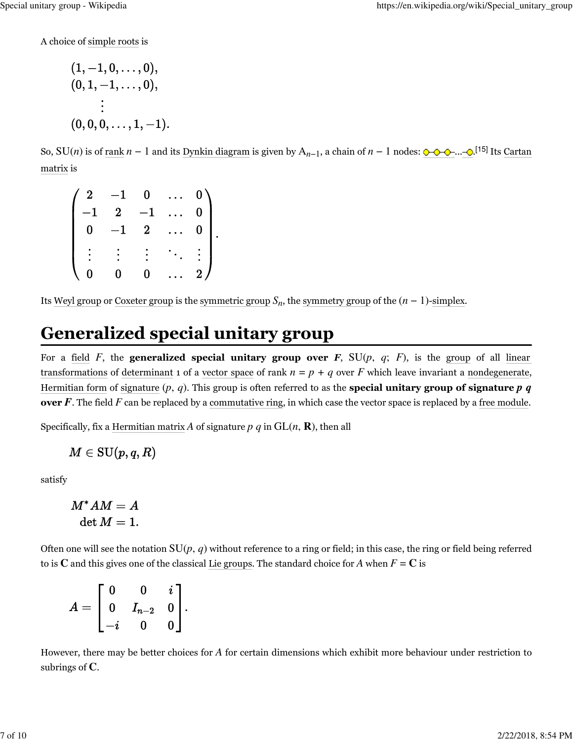A choice of simple roots is

$$
(1, -1, 0, \ldots, 0),
$$
  
\n
$$
(0, 1, -1, \ldots, 0),
$$
  
\n
$$
\vdots
$$
  
\n
$$
(0, 0, 0, \ldots, 1, -1)
$$

So, SU(*n*) is of <u>rank</u> *n* − 1 and its <u>Dynkin diagram</u> is given by A<sub>*n*−1</sub>, a chain of *n* − 1 nodes:  $\bigcirc$   $\bigcirc$   $\bigcirc$   $\bigcirc$   $\bigcirc$  [15] Its Cartan matrix is

 $\begin{bmatrix} -1 & 2 & -1 & \dots & 0 \ 0 & -1 & 2 & \dots & 0 \ \vdots & \vdots & \vdots & \ddots & \vdots \end{bmatrix}.$ 

Its <u>Weyl group</u> or Coxeter group is the symmetric group  $S_n$ , the symmetry group of the  $(n - 1)$ -simplex.

# **Generalized special unitary group**

For a field  $F$ , the **generalized special unitary group over**  $F$ **,** SU( $p$ ,  $q$ ;  $F$ ), is the group of all linear transformations of determinant 1 of a vector space of rank  $n = p + q$  over *F* which leave invariant a nondegenerate, Hermitian form of signature  $(p, q)$ . This group is often referred to as the **special unitary group of signature**  $p \, q$ **over F**. The field F can be replaced by a commutative ring, in which case the vector space is replaced by a free module.

Specifically, fix a Hermitian matrix A of signature  $p \, q$  in  $GL(n, \mathbf{R})$ , then all

$$
M\in \mathrm{SU}(p,q,R)
$$

satisfy

 $M^*AM = A$  $\det M = 1.$ 

Often one will see the notation  $SU(p, q)$  without reference to a ring or field; in this case, the ring or field being referred to is **C** and this gives one of the classical Lie groups. The standard choice for *A* when  $F = C$  is

 $A = \left[ \begin{array}{ccc} 0 & 0 & i \ 0 & I_{n-2} & 0 \ i & 0 & 0 \end{array} \right].$ 

However, there may be better choices for *A* for certain dimensions which exhibit more behaviour under restriction to subrings of **C**.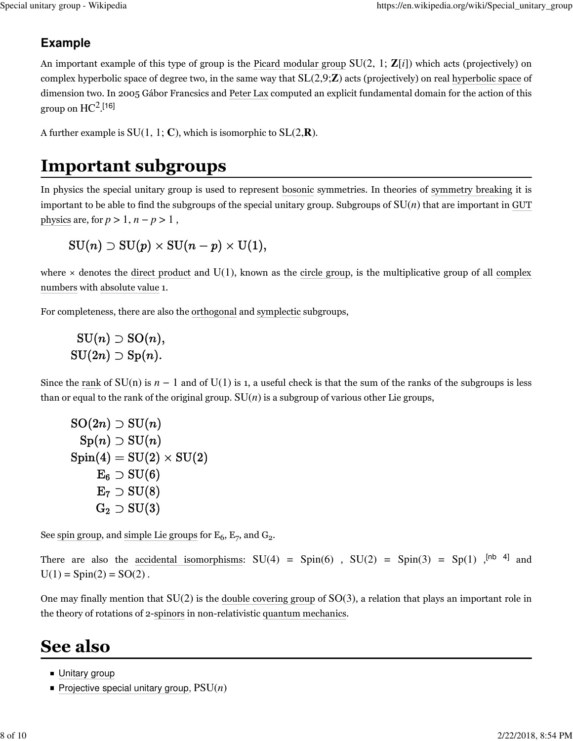### **Example**

An important example of this type of group is the Picard modular group SU(2, 1; **Z**[*i*]) which acts (projectively) on complex hyperbolic space of degree two, in the same way that SL(2,9;**Z**) acts (projectively) on real hyperbolic space of dimension two. In 2005 Gábor Francsics and Peter Lax computed an explicit fundamental domain for the action of this group on  $\rm{HC^{2}.[16]}$ 

A further example is  $SU(1, 1; \mathbb{C})$ , which is isomorphic to  $SL(2,\mathbb{R})$ .

# **Important subgroups**

In physics the special unitary group is used to represent bosonic symmetries. In theories of symmetry breaking it is important to be able to find the subgroups of the special unitary group. Subgroups of SU(*n*) that are important in GUT physics are, for  $p > 1$ ,  $n - p > 1$ ,

### $SU(n) \supset SU(p) \times SU(n-p) \times U(1),$

where  $\times$  denotes the direct product and U(1), known as the circle group, is the multiplicative group of all complex numbers with absolute value 1.

For completeness, there are also the orthogonal and symplectic subgroups,

### $\mathrm{SU}(n) \supset \mathrm{SO}(n),$  $SU(2n) \supset Sp(n).$

Since the rank of  $SU(n)$  is  $n-1$  and of  $U(1)$  is 1, a useful check is that the sum of the ranks of the subgroups is less than or equal to the rank of the original group.  $SU(n)$  is a subgroup of various other Lie groups,

$$
\mathrm{SO}(2n) \supset \mathrm{SU}(n) \\ \mathrm{Sp}(n) \supset \mathrm{SU}(n) \\ \mathrm{Spin}(4) = \mathrm{SU}(2) \times \mathrm{SU}(2) \\ \mathrm{E}_6 \supset \mathrm{SU}(6) \\ \mathrm{E}_7 \supset \mathrm{SU}(8) \\ \mathrm{G}_2 \supset \mathrm{SU}(3)
$$

See spin group, and simple Lie groups for  $\mathrm{E}_6$ ,  $\mathrm{E}_7$ , and  $\mathrm{G}_2$ .

There are also the accidental isomorphisms:  $SU(4) = Spin(6)$  ,  $SU(2) = Spin(3) = Spin(3)$ ,  $[Nb 4]$  and  $U(1) = Spin(2) = SO(2)$ .

One may finally mention that SU(2) is the double covering group of SO(3), a relation that plays an important role in the theory of rotations of 2-spinors in non-relativistic quantum mechanics.

### **See also**

- **Unitary group**
- Projective special unitary group,  $PSU(n)$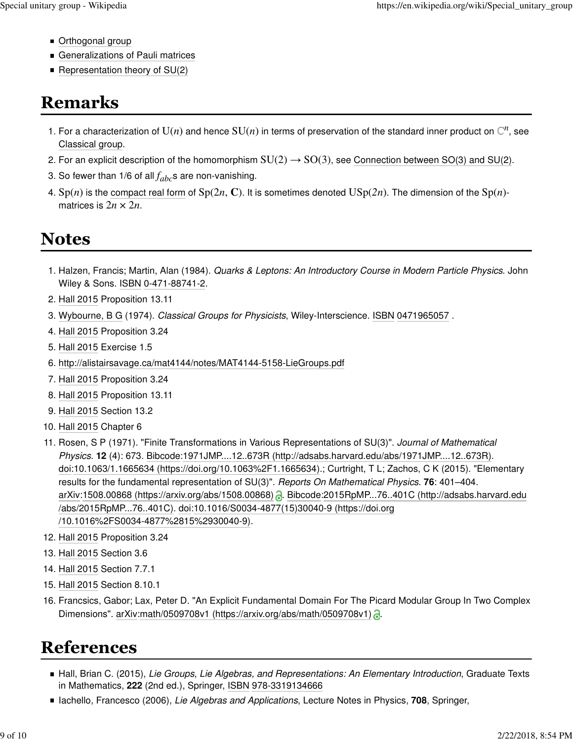- Orthogonal group
- **Generalizations of Pauli matrices**
- Representation theory of  $SU(2)$

# **Remarks**

- 1. For a characterization of  $U(n)$  and hence  $SU(n)$  in terms of preservation of the standard inner product on  $\mathbb{C}^n$ , see Classical group.
- 2. For an explicit description of the homomorphism  $SU(2) \rightarrow SO(3)$ , see Connection between SO(3) and SU(2).
- 3. So fewer than 1/6 of all  $f_{abc}$ s are non-vanishing.
- 4. Sp(*n*) is the compact real form of Sp(2*n*, **C**). It is sometimes denoted  $USp(2n)$ . The dimension of the Sp(*n*)matrices is  $2n \times 2n$ .

### **Notes**

- 1. Halzen, Francis; Martin, Alan (1984). Quarks & Leptons: An Introductory Course in Modern Particle Physics. John Wiley & Sons. ISBN 0-471-88741-2.
- 2. Hall 2015 Proposition 13.11
- 3. Wybourne, B G (1974). Classical Groups for Physicists, Wiley-Interscience. ISBN 0471965057 .
- 4. Hall 2015 Proposition 3.24
- 5. Hall 2015 Exercise 1.5
- 6. http://alistairsavage.ca/mat4144/notes/MAT4144-5158-LieGroups.pdf
- 7. Hall 2015 Proposition 3.24
- 8. Hall 2015 Proposition 13.11
- 9. Hall 2015 Section 13.2
- 10. Hall 2015 Chapter 6
- 11. Rosen, S P (1971). "Finite Transformations in Various Representations of SU(3)". Journal of Mathematical Physics. **12** (4): 673. Bibcode:1971JMP....12..673R (http://adsabs.harvard.edu/abs/1971JMP....12..673R). doi:10.1063/1.1665634 (https://doi.org/10.1063%2F1.1665634).; Curtright, T L; Zachos, C K (2015). "Elementary results for the fundamental representation of SU(3)". Reports On Mathematical Physics. **76**: 401–404. arXiv:1508.00868 (https://arxiv.org/abs/1508.00868) . Bibcode:2015RpMP...76..401C (http://adsabs.harvard.edu /abs/2015RpMP...76..401C). doi:10.1016/S0034-4877(15)30040-9 (https://doi.org /10.1016%2FS0034-4877%2815%2930040-9).
- 12. Hall 2015 Proposition 3.24
- 13. Hall 2015 Section 3.6
- 14. Hall 2015 Section 7.7.1
- 15. Hall 2015 Section 8.10.1
- 16. Francsics, Gabor; Lax, Peter D. "An Explicit Fundamental Domain For The Picard Modular Group In Two Complex Dimensions". arXiv:math/0509708v1 (https://arxiv.org/abs/math/0509708v1) .

# **References**

- Hall, Brian C. (2015), Lie Groups, Lie Algebras, and Representations: An Elementary Introduction, Graduate Texts in Mathematics, **222** (2nd ed.), Springer, ISBN 978-3319134666
- **Iachello, Francesco (2006), Lie Algebras and Applications, Lecture Notes in Physics, 708, Springer,**